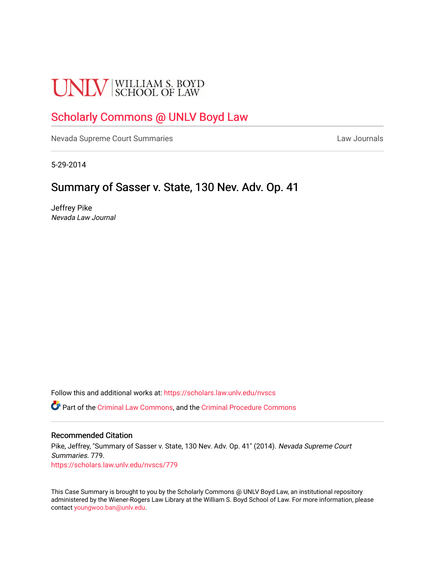# **UNLV** SCHOOL OF LAW

## [Scholarly Commons @ UNLV Boyd Law](https://scholars.law.unlv.edu/)

[Nevada Supreme Court Summaries](https://scholars.law.unlv.edu/nvscs) **Law Journals** Law Journals

5-29-2014

## Summary of Sasser v. State, 130 Nev. Adv. Op. 41

Jeffrey Pike Nevada Law Journal

Follow this and additional works at: [https://scholars.law.unlv.edu/nvscs](https://scholars.law.unlv.edu/nvscs?utm_source=scholars.law.unlv.edu%2Fnvscs%2F779&utm_medium=PDF&utm_campaign=PDFCoverPages)

Part of the [Criminal Law Commons,](http://network.bepress.com/hgg/discipline/912?utm_source=scholars.law.unlv.edu%2Fnvscs%2F779&utm_medium=PDF&utm_campaign=PDFCoverPages) and the [Criminal Procedure Commons](http://network.bepress.com/hgg/discipline/1073?utm_source=scholars.law.unlv.edu%2Fnvscs%2F779&utm_medium=PDF&utm_campaign=PDFCoverPages)

#### Recommended Citation

Pike, Jeffrey, "Summary of Sasser v. State, 130 Nev. Adv. Op. 41" (2014). Nevada Supreme Court Summaries. 779. [https://scholars.law.unlv.edu/nvscs/779](https://scholars.law.unlv.edu/nvscs/779?utm_source=scholars.law.unlv.edu%2Fnvscs%2F779&utm_medium=PDF&utm_campaign=PDFCoverPages)

This Case Summary is brought to you by the Scholarly Commons @ UNLV Boyd Law, an institutional repository administered by the Wiener-Rogers Law Library at the William S. Boyd School of Law. For more information, please contact [youngwoo.ban@unlv.edu](mailto:youngwoo.ban@unlv.edu).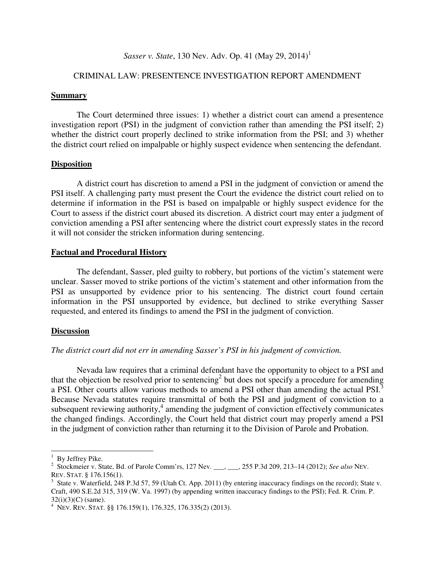### *Sasser v. State*, 130 Nev. Adv. Op. 41 (May 29, 2014)<sup>1</sup>

#### CRIMINAL LAW: PRESENTENCE INVESTIGATION REPORT AMENDMENT

#### **Summary**

 The Court determined three issues: 1) whether a district court can amend a presentence investigation report (PSI) in the judgment of conviction rather than amending the PSI itself; 2) whether the district court properly declined to strike information from the PSI; and 3) whether the district court relied on impalpable or highly suspect evidence when sentencing the defendant.

#### **Disposition**

 A district court has discretion to amend a PSI in the judgment of conviction or amend the PSI itself. A challenging party must present the Court the evidence the district court relied on to determine if information in the PSI is based on impalpable or highly suspect evidence for the Court to assess if the district court abused its discretion. A district court may enter a judgment of conviction amending a PSI after sentencing where the district court expressly states in the record it will not consider the stricken information during sentencing.

#### **Factual and Procedural History**

 The defendant, Sasser, pled guilty to robbery, but portions of the victim's statement were unclear. Sasser moved to strike portions of the victim's statement and other information from the PSI as unsupported by evidence prior to his sentencing. The district court found certain information in the PSI unsupported by evidence, but declined to strike everything Sasser requested, and entered its findings to amend the PSI in the judgment of conviction.

#### **Discussion**

#### *The district court did not err in amending Sasser's PSI in his judgment of conviction.*

Nevada law requires that a criminal defendant have the opportunity to object to a PSI and that the objection be resolved prior to sentencing<sup>2</sup> but does not specify a procedure for amending a PSI. Other courts allow various methods to amend a PSI other than amending the actual PSI.<sup>3</sup> Because Nevada statutes require transmittal of both the PSI and judgment of conviction to a subsequent reviewing authority,<sup>4</sup> amending the judgment of conviction effectively communicates the changed findings. Accordingly, the Court held that district court may properly amend a PSI in the judgment of conviction rather than returning it to the Division of Parole and Probation.

l.

<sup>&</sup>lt;sup>1</sup> By Jeffrey Pike.

<sup>2</sup> Stockmeier v. State, Bd. of Parole Comm'rs, 127 Nev. \_\_\_, \_\_\_, 255 P.3d 209, 213–14 (2012); *See also* NEV. REV. STAT. § 176.156(1).

 $3$  State v. Waterfield, 248 P.3d 57, 59 (Utah Ct. App. 2011) (by entering inaccuracy findings on the record); State v. Craft, 490 S.E.2d 315, 319 (W. Va. 1997) (by appending written inaccuracy findings to the PSI); Fed. R. Crim. P. 32(i)(3)(C) (same).

<sup>4</sup> NEV. REV. STAT. §§ 176.159(1), 176.325, 176.335(2) (2013).